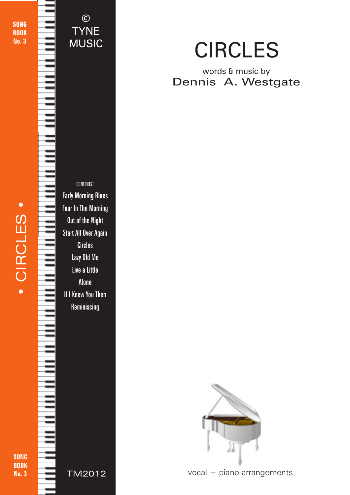SONG **BOOK** No. 3

© **TYNE** MUSIC



CONTENTS: Early Morning Blues Four In The Morning Out of the Night Start All Over Again **Circles** Lazy Old Me Live a Little Alone If I Knew You Then Reminiscing

SONG **BOOK** No. 3



# CIRCLES

words & music by Dennis A. Westgate



© 2018 - Circles - TYNE MUSIC - tynemusiclimited@gmail.com

TM2012 vocal + piano arrangements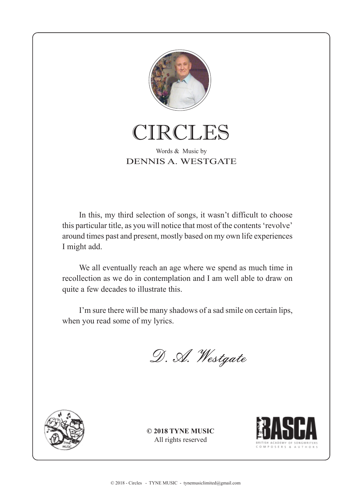

CIRCLES

#### Words & Music by DENNIS A. WESTGATE

In this, my third selection of songs, it wasn't difficult to choose this particular title, as you will notice that most of the contents 'revolve' around times past and present, mostly based on my own life experiences I might add.

We all eventually reach an age where we spend as much time in recollection as we do in contemplation and I am well able to draw on quite a few decades to illustrate this.

I'm sure there will be many shadows of a sad smile on certain lips, when you read some of my lyrics.

D. A. Westgate



**© 2018 TYNE MUSIC** All rights reserved

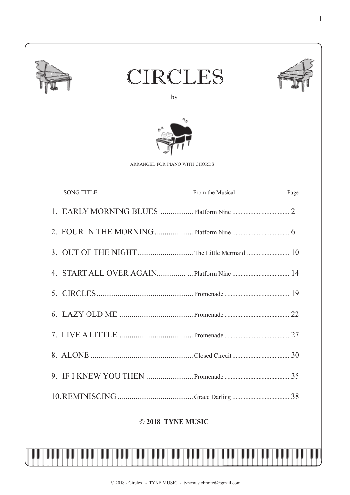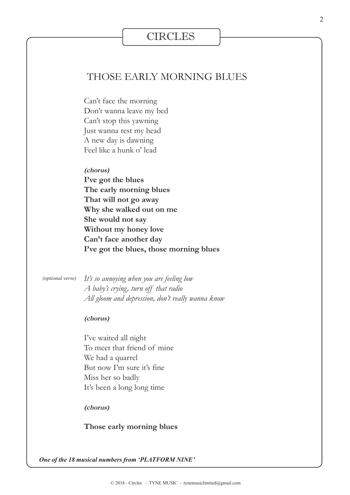### CIRCLES

## THOSE EARLY MORNING BLUES

Can't face the morning Don't wanna leave my bed Can't stop this yawning Just wanna rest my head A new day is dawning Feel like a hunk o' lead

#### **(chorus)**

**I've got the blues The early morning blues That will not go away Why she walked out on me She would not say Without my honey love Can't face another day I've got the blues, those morning blues**

*It's so annoying when you are feeling low A baby's crying, turn off that radio All gloom and depression, don't really wanna know (optional verse)*

#### **(chorus)**

I've waited all night To meet that friend of mine We had a quarrel But now I'm sure it's fine Miss her so badly It's been a long long time

**(chorus)**

**Those early morning blues**

*One of the 18 musical numbers from 'PLATFORM NINE'*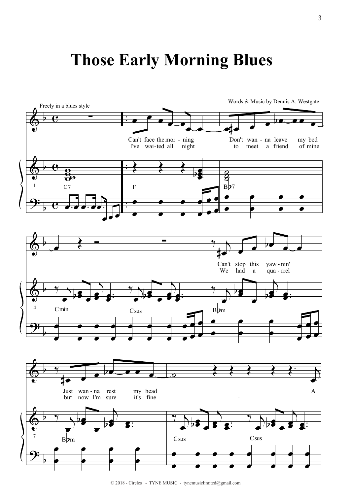# **Those Early Morning Blues**



 <sup>© 2018 -</sup> Circles - TYNE MUSIC - tynemusiclimited@gmail.com